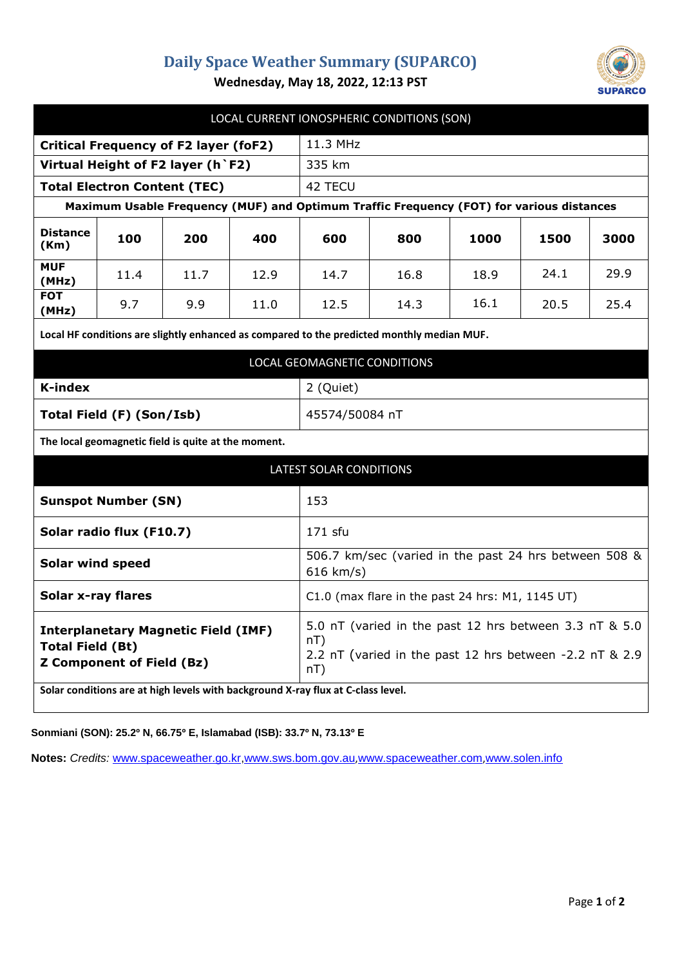## **Daily Space Weather Summary (SUPARCO)**



**Wednesday, May 18, 2022, 12:13 PST**

| LOCAL CURRENT IONOSPHERIC CONDITIONS (SON)                                                                |      |      |      |                                                                                                                                 |      |      |      |      |
|-----------------------------------------------------------------------------------------------------------|------|------|------|---------------------------------------------------------------------------------------------------------------------------------|------|------|------|------|
| <b>Critical Frequency of F2 layer (foF2)</b>                                                              |      |      |      | 11.3 MHz                                                                                                                        |      |      |      |      |
| Virtual Height of F2 layer (h `F2)                                                                        |      |      |      | 335 km                                                                                                                          |      |      |      |      |
| <b>Total Electron Content (TEC)</b>                                                                       |      |      |      | 42 TECU                                                                                                                         |      |      |      |      |
| Maximum Usable Frequency (MUF) and Optimum Traffic Frequency (FOT) for various distances                  |      |      |      |                                                                                                                                 |      |      |      |      |
| <b>Distance</b><br>(Km)                                                                                   | 100  | 200  | 400  | 600                                                                                                                             | 800  | 1000 | 1500 | 3000 |
| <b>MUF</b><br>(MHz)                                                                                       | 11.4 | 11.7 | 12.9 | 14.7                                                                                                                            | 16.8 | 18.9 | 24.1 | 29.9 |
| <b>FOT</b><br>(MHz)                                                                                       | 9.7  | 9.9  | 11.0 | 12.5                                                                                                                            | 14.3 | 16.1 | 20.5 | 25.4 |
| Local HF conditions are slightly enhanced as compared to the predicted monthly median MUF.                |      |      |      |                                                                                                                                 |      |      |      |      |
| LOCAL GEOMAGNETIC CONDITIONS                                                                              |      |      |      |                                                                                                                                 |      |      |      |      |
| K-index                                                                                                   |      |      |      | 2 (Quiet)                                                                                                                       |      |      |      |      |
| Total Field (F) (Son/Isb)                                                                                 |      |      |      | 45574/50084 nT                                                                                                                  |      |      |      |      |
| The local geomagnetic field is quite at the moment.                                                       |      |      |      |                                                                                                                                 |      |      |      |      |
| LATEST SOLAR CONDITIONS                                                                                   |      |      |      |                                                                                                                                 |      |      |      |      |
| <b>Sunspot Number (SN)</b>                                                                                |      |      |      | 153                                                                                                                             |      |      |      |      |
| Solar radio flux (F10.7)                                                                                  |      |      |      | 171 sfu                                                                                                                         |      |      |      |      |
| <b>Solar wind speed</b>                                                                                   |      |      |      | 506.7 km/sec (varied in the past 24 hrs between 508 &<br>616 km/s)                                                              |      |      |      |      |
| <b>Solar x-ray flares</b>                                                                                 |      |      |      | $C1.0$ (max flare in the past 24 hrs: M1, 1145 UT)                                                                              |      |      |      |      |
| <b>Interplanetary Magnetic Field (IMF)</b><br><b>Total Field (Bt)</b><br><b>Z Component of Field (Bz)</b> |      |      |      | 5.0 nT (varied in the past 12 hrs between 3.3 nT & 5.0<br>nT)<br>2.2 nT (varied in the past 12 hrs between -2.2 nT & 2.9<br>nT) |      |      |      |      |
| Solar conditions are at high levels with background X-ray flux at C-class level.                          |      |      |      |                                                                                                                                 |      |      |      |      |

**Sonmiani (SON): 25.2º N, 66.75º E, Islamabad (ISB): 33.7º N, 73.13º E**

**Notes:** *Credits:* [www.spaceweather.go.kr,](http://www.spaceweather.go.kr/)[www.sws.bom.gov.au](http://www.sws.bom.gov.au/),[www.spaceweather.com](http://www.spaceweather.com/),[www.solen.info](http://www.solen.info/)